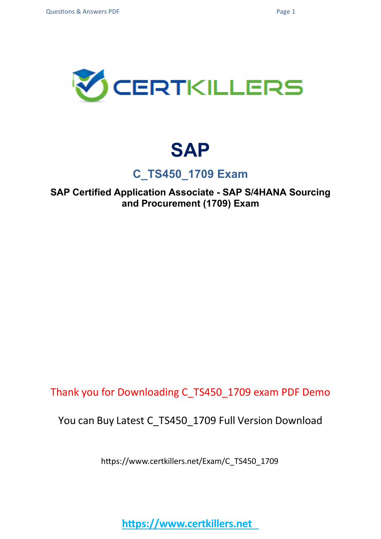

## **SAP**

## **C\_TS450\_1709 Exam**

**SAP Certified Application Associate - SAP S/4HANA Sourcing and Procurement (1709) Exam**

Thank you for Downloading C\_TS450\_1709 exam PDF Demo

You can Buy Latest C\_TS450\_1709 Full Version Download

https://www.certkillers.net/Exam/C\_TS450\_1709

**https://www.certkillers.net**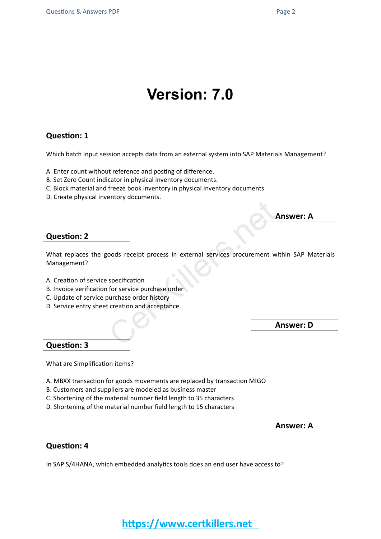## **Version: 7.0**

#### **Question: 1**

Which batch input session accepts data from an external system into SAP Materials Management?

- A. Enter count without reference and posting of difference.
- B. Set Zero Count indicator in physical inventory documents.
- C. Block material and freeze book inventory in physical inventory documents.
- D. Create physical inventory documents.

#### **Question: 2**

What replaces the goods receipt process in external services procurement within SAP Materials Management?

- A. Creation of service specification
- B. Invoice verification for service purchase order
- C. Update of service purchase order history
- D. Service entry sheet creation and acceptance

**Answer: D**

**Answer: A**

#### **Question: 3**

What are Simplification items?

- A. MBXX transaction for goods movements are replaced by transaction MIGO
- B. Customers and suppliers are modeled as business master
- C. Shortening of the material number field length to 35 characters
- D. Shortening of the material number field length to 15 characters

**Answer: A**

#### **Question: 4**

In SAP S/4HANA, which embedded analytics tools does an end user have access to?

## **https://www.certkillers.net**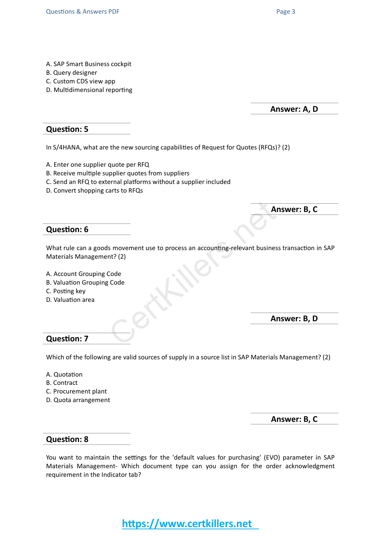- A. SAP Smart Business cockpit
- B. Query designer
- C. Custom CDS view app
- D. Multidimensional reporting

**Answer: A, D**

#### **Question: 5**

In S/4HANA, what are the new sourcing capabilities of Request for Quotes (RFQs)? (2)

- A. Enter one supplier quote per RFQ
- B. Receive multiple supplier quotes from suppliers
- C. Send an RFQ to external platforms without a supplier included
- D. Convert shopping carts to RFQs

**Answer: B, C**

#### **Question: 6**

What rule can a goods movement use to process an accounting-relevant business transaction in SAP Materials Management? (2)

- A. Account Grouping Code
- B. Valuation Grouping Code
- C. Posting key
- D. Valuation area

**Answer: B, D**

#### **Question: 7**

Which of the following are valid sources of supply in a source list in SAP Materials Management? (2)

- A. Quotation
- B. Contract
- C. Procurement plant
- D. Quota arrangement

**Answer: B, C**

#### **Question: 8**

You want to maintain the settings for the 'default values for purchasing' (EVO) parameter in SAP Materials Management- Which document type can you assign for the order acknowledgment requirement in the Indicator tab?

**https://www.certkillers.net**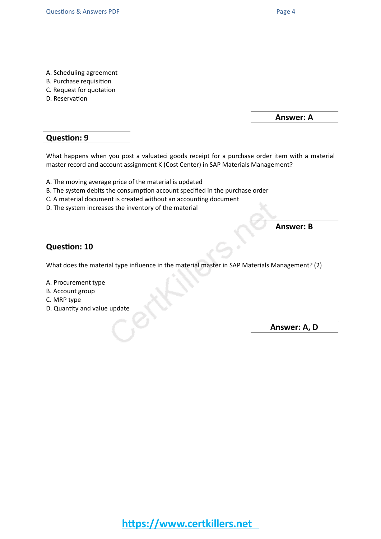- A. Scheduling agreement
- B. Purchase requisition
- C. Request for quotation
- D. Reservation

**Answer: A**

#### **Question: 9**

What happens when you post a valuateci goods receipt for a purchase order item with a material master record and account assignment K (Cost Center) in SAP Materials Management?

- A. The moving average price of the material is updated
- B. The system debits the consumption account specified in the purchase order
- C. A material document is created without an accounting document
- D. The system increases the inventory of the material

**Answer: B**

#### **Question: 10**

What does the material type influence in the material master in SAP Materials Management? (2)

- A. Procurement type
- B. Account group
- C. MRP type
- D. Quantity and value update

**Answer: A, D**